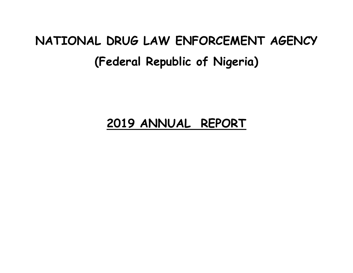# **NATIONAL DRUG LAW ENFORCEMENT AGENCY (Federal Republic of Nigeria)**

# **2019 ANNUAL REPORT**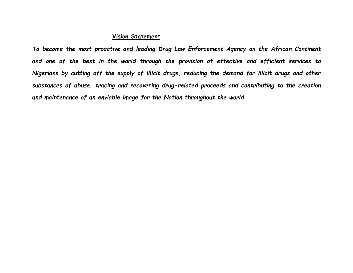#### **Vision Statement**

*To become the most proactive and leading Drug Law Enforcement Agency on the African Continent and one of the best in the world through the provision of effective and efficient services to Nigerians by cutting off the supply of illicit drugs, reducing the demand for illicit drugs and other substances of abuse, tracing and recovering drug-related proceeds and contributing to the creation and maintenance of an enviable image for the Nation throughout the world*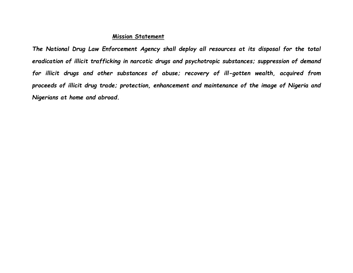#### **Mission Statement**

*The National Drug Law Enforcement Agency shall deploy all resources at its disposal for the total eradication of illicit trafficking in narcotic drugs and psychotropic substances; suppression of demand for illicit drugs and other substances of abuse; recovery of ill-gotten wealth, acquired from proceeds of illicit drug trade; protection, enhancement and maintenance of the image of Nigeria and Nigerians at home and abroad.*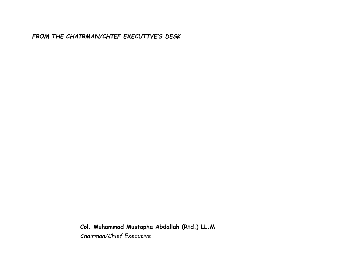*FROM THE CHAIRMAN/CHIEF EXECUTIVE'S DESK*

**Col. Muhammad Mustapha Abdallah (Rtd.) LL.M** *Chairman/Chief Executive*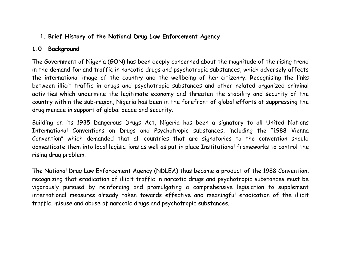#### **1. Brief History of the National Drug Law Enforcement Agency**

#### **1.0 Background**

The Government of Nigeria (GON) has been deeply concerned about the magnitude of the rising trend in the demand for and traffic in narcotic drugs and psychotropic substances, which adversely affects the international image of the country and the wellbeing of her citizenry. Recognising the links between illicit traffic in drugs and psychotropic substances and other related organized criminal activities which undermine the legitimate economy and threaten the stability and security of the country within the sub-region, Nigeria has been in the forefront of global efforts at suppressing the drug menace in support of global peace and security.

Building on its 1935 Dangerous Drugs Act, Nigeria has been a signatory to all United Nations International Conventions on Drugs and Psychotropic substances, including the "1988 Vienna Convention" which demanded that all countries that are signatories to the convention should domesticate them into local legislations as well as put in place Institutional frameworks to control the rising drug problem.

The National Drug Law Enforcement Agency (NDLEA) thus became **a** product of the 1988 Convention, recognizing that eradication of illicit traffic in narcotic drugs and psychotropic substances must be vigorously pursued by reinforcing and promulgating a comprehensive legislation to supplement international measures already taken towards effective and meaningful eradication of the illicit traffic, misuse and abuse of narcotic drugs and psychotropic substances.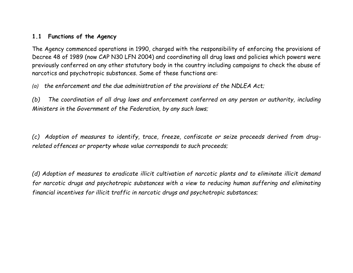#### **1.1 Functions of the Agency**

The Agency commenced operations in 1990, charged with the responsibility of enforcing the provisions of Decree 48 of 1989 (now CAP N30 LFN 2004) and coordinating all drug laws and policies which powers were previously conferred on any other statutory body in the country including campaigns to check the abuse of narcotics and psychotropic substances. Some of these functions are:

*(a) the enforcement and the due administration of the provisions of the NDLEA Act;*

*(b) The coordination of all drug laws and enforcement conferred on any person or authority, including Ministers in the Government of the Federation, by any such laws;* 

*(c) Adoption of measures to identify, trace, freeze, confiscate or seize proceeds derived from drugrelated offences or property whose value corresponds to such proceeds;*

*(d) Adoption of measures to eradicate illicit cultivation of narcotic plants and to eliminate illicit demand for narcotic drugs and psychotropic substances with a view to reducing human suffering and eliminating financial incentives for illicit traffic in narcotic drugs and psychotropic substances;*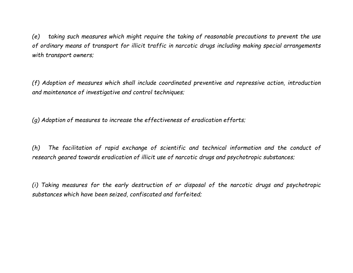*(e) taking such measures which might require the taking of reasonable precautions to prevent the use of ordinary means of transport for illicit traffic in narcotic drugs including making special arrangements with transport owners;*

*(f) Adoption of measures which shall include coordinated preventive and repressive action, introduction and maintenance of investigative and control techniques;*

*(g) Adoption of measures to increase the effectiveness of eradication efforts;*

*(h) The facilitation of rapid exchange of scientific and technical information and the conduct of research geared towards eradication of illicit use of narcotic drugs and psychotropic substances;*

*(i) Taking measures for the early destruction of or disposal of the narcotic drugs and psychotropic substances which have been seized, confiscated and forfeited;*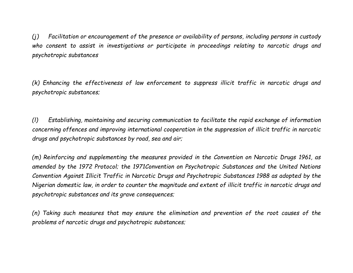*(j) Facilitation or encouragement of the presence or availability of persons, including persons in custody who consent to assist in investigations or participate in proceedings relating to narcotic drugs and psychotropic substances*

*(k) Enhancing the effectiveness of law enforcement to suppress illicit traffic in narcotic drugs and psychotropic substances;*

*(l) Establishing, maintaining and securing communication to facilitate the rapid exchange of information concerning offences and improving international cooperation in the suppression of illicit traffic in narcotic drugs and psychotropic substances by road, sea and air;*

*(m) Reinforcing and supplementing the measures provided in the Convention on Narcotic Drugs 1961, as amended by the 1972 Protocol; the 1971Convention on Psychotropic Substances and the United Nations Convention Against Illicit Traffic in Narcotic Drugs and Psychotropic Substances 1988 as adopted by the Nigerian domestic law, in order to counter the magnitude and extent of illicit traffic in narcotic drugs and psychotropic substances and its grave consequences;*

*(n) Taking such measures that may ensure the elimination and prevention of the root causes of the problems of narcotic drugs and psychotropic substances;*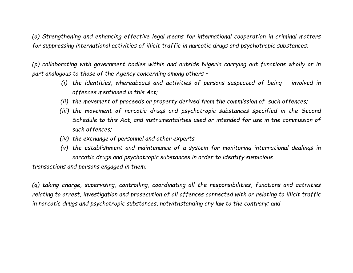*(o) Strengthening and enhancing effective legal means for international cooperation in criminal matters for suppressing international activities of illicit traffic in narcotic drugs and psychotropic substances;*

*(p) collaborating with government bodies within and outside Nigeria carrying out functions wholly or in part analogous to those of the Agency concerning among others –*

- *(i) the identities, whereabouts and activities of persons suspected of being involved in offences mentioned in this Act;*
- *(ii) the movement of proceeds or property derived from the commission of such offences;*
- *(iii) the movement of narcotic drugs and psychotropic substances specified in the Second Schedule to this Act, and instrumentalities used or intended for use in the commission of such offences;*
- *(iv) the exchange of personnel and other experts*
- *(v) the establishment and maintenance of a system for monitoring international dealings in narcotic drugs and psychotropic substances in order to identify suspicious*

*transactions and persons engaged in them;*

*(q) taking charge, supervising, controlling, coordinating all the responsibilities, functions and activities relating to arrest, investigation and prosecution of all offences connected with or relating to illicit traffic in narcotic drugs and psychotropic substances, notwithstanding any law to the contrary; and*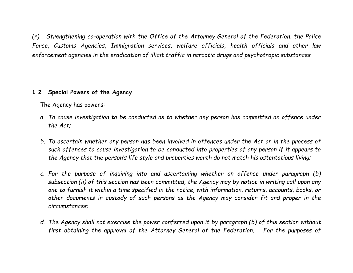*(r) Strengthening co-operation with the Office of the Attorney General of the Federation, the Police Force, Customs Agencies, Immigration services, welfare officials, health officials and other law enforcement agencies in the eradication of illicit traffic in narcotic drugs and psychotropic substances* 

#### **1.2 Special Powers of the Agency**

The Agency has powers:

- *a. To cause investigation to be conducted as to whether any person has committed an offence under the Act;*
- *b. To ascertain whether any person has been involved in offences under the Act or in the process of such offences to cause investigation to be conducted into properties of any person if it appears to the Agency that the person's life style and properties worth do not match his ostentatious living;*
- *c. For the purpose of inquiring into and ascertaining whether an offence under paragraph (b) subsection (ii) of this section has been committed, the Agency may by notice in writing call upon any one to furnish it within a time specified in the notice, with information, returns, accounts, books, or other documents in custody of such persons as the Agency may consider fit and proper in the circumstances;*
- *d. The Agency shall not exercise the power conferred upon it by paragraph (b) of this section without first obtaining the approval of the Attorney General of the Federation. For the purposes of*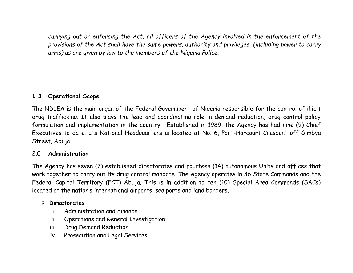*carrying out or enforcing the Act, all officers of the Agency involved in the enforcement of the provisions of the Act shall have the same powers, authority and privileges (including power to carry arms) as are given by law to the members of the Nigeria Police.*

#### **1.3 Operational Scope**

The NDLEA is the main organ of the Federal Government of Nigeria responsible for the control of illicit drug trafficking. It also plays the lead and coordinating role in demand reduction, drug control policy formulation and implementation in the country. Established in 1989, the Agency has had nine (9) Chief Executives to date. Its National Headquarters is located at No. 6, Port-Harcourt Crescent off Gimbya Street, Abuja.

#### 2.0 **Administration**

The Agency has seven (7) established directorates and fourteen (14) autonomous Units and offices that work together to carry out its drug control mandate. The Agency operates in 36 State Commands and the Federal Capital Territory (FCT) Abuja. This is in addition to ten (10) Special Area Commands (SACs) located at the nation's international airports, sea ports and land borders.

#### ➢ **Directorates**

- i. Administration and Finance
- ii. Operations and General Investigation
- iii. Drug Demand Reduction
- iv. Prosecution and Legal Services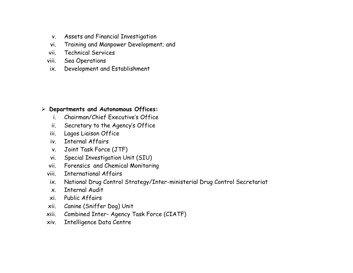- v. Assets and Financial Investigation
- vi. Training and Manpower Development; and
- vii. Technical Services
- viii. Sea Operations
- ix. Development and Establishment

#### ➢ **Departments and Autonomous Offices:**

- i. Chairman/Chief Executive's Office
- ii. Secretary to the Agency's Office
- iii. Lagos Liaison Office
- iv. Internal Affairs
- v. Joint Task Force (JTF)
- vi. Special Investigation Unit (SIU)
- vii. Forensics and Chemical Monitoring
- viii. International Affairs
- ix. National Drug Control Strategy/Inter-ministerial Drug Control Secretariat
- x. Internal Audit
- xi. Public Affairs
- xii. Canine (Sniffer Dog) Unit
- xiii. Combined Inter- Agency Task Force (CIATF)
- xiv. Intelligence Data Centre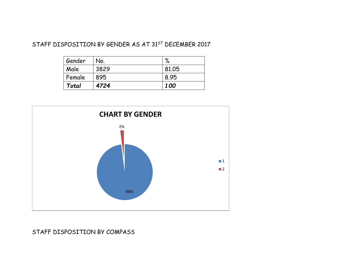#### STAFF DISPOSITION BY GENDER AS AT 31<sup>ST</sup> DECEMBER 2017

| Gender | No.  | $\%$       |
|--------|------|------------|
| Male   | 3829 | 81.05      |
| Female | 895  | 8.95       |
| Total  | 4724 | <i>100</i> |



#### STAFF DISPOSITION BY COMPASS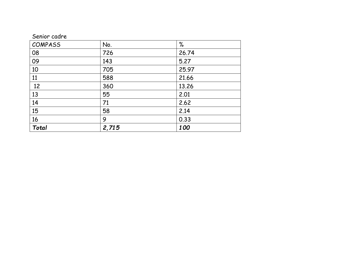|  | Senior cadre |  |
|--|--------------|--|
|  |              |  |

| <b>COMPASS</b> | No.   | $\%$  |
|----------------|-------|-------|
| 08             | 726   | 26.74 |
| 09             | 143   | 5.27  |
| 10             | 705   | 25.97 |
| 11             | 588   | 21.66 |
| 12             | 360   | 13.26 |
| 13             | 55    | 2.01  |
| 14             | 71    | 2.62  |
| 15             | 58    | 2.14  |
| 16             | 9     | 0.33  |
| Total          | 2,715 | 100   |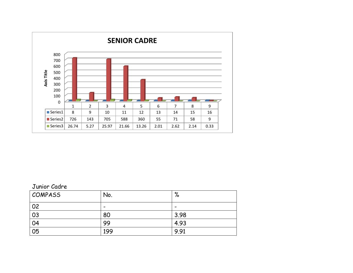

#### Junior Cadre

| <b>COMPASS</b> | No.                      | $\mathsf{o}_\ell$<br>70  |
|----------------|--------------------------|--------------------------|
| 02             | $\overline{\phantom{0}}$ | $\overline{\phantom{0}}$ |
| 03             | 80                       | 3.98                     |
| 04             | 99                       | 4.93                     |
| 05             | 199                      | 9.91                     |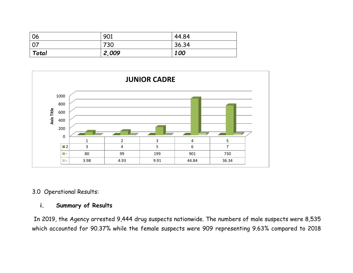| 06              | 901   | 44.84 |
|-----------------|-------|-------|
| $\overline{07}$ | 730   | 36.34 |
| Total           | 2,009 | 100   |



3.0 Operational Results:

#### **i. Summary of Results**

In 2019, the Agency arrested 9,444 drug suspects nationwide. The numbers of male suspects were 8,535 which accounted for 90.37% while the female suspects were 909 representing 9.63% compared to 2018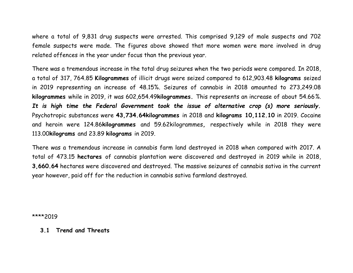where a total of 9,831 drug suspects were arrested. This comprised 9,129 of male suspects and 702 female suspects were made. The figures above showed that more women were more involved in drug related offences in the year under focus than the previous year.

There was a tremendous increase in the total drug seizures when the two periods were compared. In 2018, a total of 317, 764.85 **Kilogrammes** of illicit drugs were seized compared to 612,903.48 **kilograms** seized in 2019 representing an increase of 48.15%. Seizures of cannabis in 2018 amounted to 273,249.08 **kilogrammes** while in 2019, it was 602,654.49**kilogrammes.** This represents an increase of about 54.66*%. It is high time the Federal Government took the issue of alternative crop (s) more seriously.* Psychotropic substances were **43,734.64kilogrammes** in 2018 and **kilograms 10,112.10** in 2019. Cocaine and heroin were 124.86**kilogrammes** and 59.62kilogrammes**,** respectively while in 2018 they were 113.00**kilograms** and 23.89 **kilograms** in 2019.

There was a tremendous increase in cannabis farm land destroyed in 2018 when compared with 2017. A total of 473.15 **hectares** of cannabis plantation were discovered and destroyed in 2019 while in 2018, **3,660.64** hectares were discovered and destroyed. The massive seizures of cannabis sativa in the current year however, paid off for the reduction in cannabis sativa farmland destroyed.

\*\*\*\*2019

#### **3.1 Trend and Threats**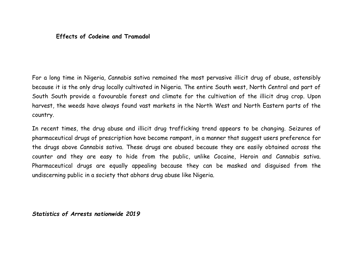#### **Effects of Codeine and Tramadol**

For a long time in Nigeria, Cannabis sativa remained the most pervasive illicit drug of abuse, ostensibly because it is the only drug locally cultivated in Nigeria. The entire South west, North Central and part of South South provide a favourable forest and climate for the cultivation of the illicit drug crop. Upon harvest, the weeds have always found vast markets in the North West and North Eastern parts of the country.

In recent times, the drug abuse and illicit drug trafficking trend appears to be changing. Seizures of pharmaceutical drugs of prescription have become rampant, in a manner that suggest users preference for the drugs above Cannabis sativa. These drugs are abused because they are easily obtained across the counter and they are easy to hide from the public, unlike Cocaine, Heroin and Cannabis sativa. Pharmaceutical drugs are equally appealing because they can be masked and disguised from the undiscerning public in a society that abhors drug abuse like Nigeria.

*Statistics of Arrests nationwide 2019*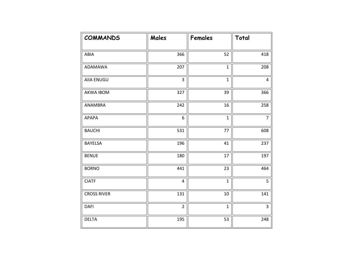| <b>COMMANDS</b>    | Males          | Females      | Total          |
|--------------------|----------------|--------------|----------------|
|                    |                |              |                |
| ABIA               | 366            | 52           | 418            |
| ADAMAWA            | 207            | $\mathbf{1}$ | 208            |
| <b>AIIA ENUGU</b>  | 3              | $\mathbf{1}$ | 4              |
| <b>AKWA IBOM</b>   | 327            | 39           | 366            |
| ANAMBRA            | 242            | 16           | 258            |
| <b>APAPA</b>       | 6              | $\mathbf{1}$ | $\overline{7}$ |
| <b>BAUCHI</b>      | 531            | 77           | 608            |
| <b>BAYELSA</b>     | 196            | 41           | 237            |
| <b>BENUE</b>       | 180            | 17           | 197            |
| <b>BORNO</b>       | 441            | 23           | 464            |
| <b>CIATF</b>       | $\overline{4}$ | $\mathbf{1}$ | 5              |
| <b>CROSS RIVER</b> | 131            | 10           | 141            |
| <b>DAFI</b>        | $\overline{2}$ | $\mathbf{1}$ | 3              |
| <b>DELTA</b>       | 195            | 53           | 248            |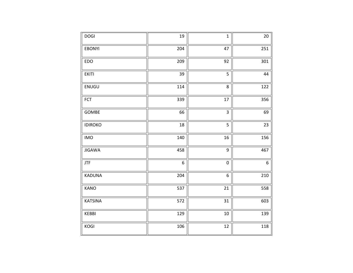| <b>DOGI</b>    | 19               | $\mathbf{1}$   | 20               |
|----------------|------------------|----------------|------------------|
| <b>EBONYI</b>  | 204              | 47             | 251              |
| EDO            | 209              | 92             | 301              |
| <b>EKITI</b>   | 39               | 5              | 44               |
| ENUGU          | 114              | 8              | 122              |
| FCT            | 339              | 17             | 356              |
| GOMBE          | 66               | $\overline{3}$ | 69               |
| <b>IDIROKO</b> | 18               | 5              | 23               |
| <b>IMO</b>     | 140              | 16             | 156              |
| <b>JIGAWA</b>  | 458              | 9              | 467              |
| <b>JTF</b>     | $\boldsymbol{6}$ | $\pmb{0}$      | $\boldsymbol{6}$ |
| KADUNA         | 204              | 6              | 210              |
| KANO           | 537              | $21\,$         | 558              |
| <b>KATSINA</b> | 572              | 31             | 603              |
| KEBBI          | 129              | 10             | 139              |
| KOGI           | 106              | 12             | 118              |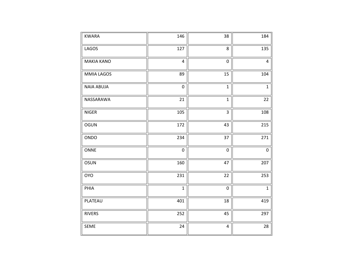| <b>KWARA</b>      | 146            | 38                      | 184            |
|-------------------|----------------|-------------------------|----------------|
| LAGOS             | 127            | 8                       | 135            |
| <b>MAKIA KANO</b> | $\overline{4}$ | $\mathbf 0$             | $\overline{4}$ |
| <b>MMIA LAGOS</b> | 89             | 15                      | 104            |
| <b>NAIA ABUJA</b> | 0              | $\mathbf{1}$            | $\mathbf{1}$   |
| NASSARAWA         | 21             | $\mathbf{1}$            | 22             |
| <b>NIGER</b>      | 105            | 3                       | 108            |
| <b>OGUN</b>       | 172            | 43                      | 215            |
| ONDO              | 234            | 37                      | 271            |
| ONNE              | $\pmb{0}$      | $\mathbf 0$             | 0              |
| OSUN              | 160            | 47                      | 207            |
| <b>OYO</b>        | 231            | 22                      | 253            |
| PHIA              | $\mathbf{1}$   | $\pmb{0}$               | $\mathbf{1}$   |
| PLATEAU           | 401            | 18                      | 419            |
| <b>RIVERS</b>     | 252            | 45                      | 297            |
| SEME              | 24             | $\overline{\mathbf{4}}$ | 28             |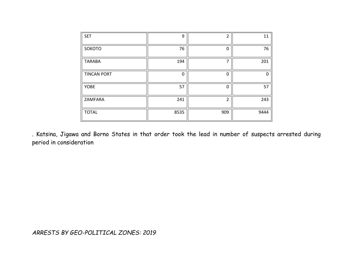| <b>SET</b>         | 9    | $\mathcal{P}$ | 11   |
|--------------------|------|---------------|------|
| SOKOTO             | 76   | ∩             | 76   |
| <b>TARABA</b>      | 194  |               | 201  |
| <b>TINCAN PORT</b> | 0    | $\Omega$      | n    |
| <b>YOBE</b>        | 57   | ∩             | 57   |
| ZAMFARA            | 241  | $\mathcal{D}$ | 243  |
| <b>TOTAL</b>       | 8535 | 909           | 9444 |

. Katsina, Jigawa and Borno States in that order took the lead in number of suspects arrested during period in consideration

*ARRESTS BY GEO-POLITICAL ZONES: 2019*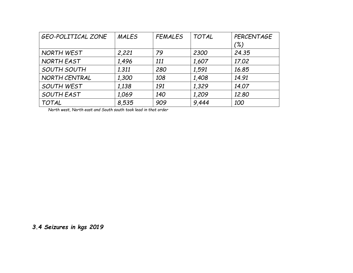| <b>GEO-POLITICAL ZONE</b> | <b>MALES</b> | <b>FEMALES</b> | <b>TOTAL</b> | PERCENTAGE |
|---------------------------|--------------|----------------|--------------|------------|
|                           |              |                |              | (%)        |
| NORTH WEST                | 2,221        | 79             | 2300         | 24.35      |
| NORTH EAST                | 1,496        | 111            | 1,607        | 17.02      |
| SOUTH SOUTH               | 1.311        | 280            | 1,591        | 16.85      |
| NORTH CENTRAL             | 1,300        | 108            | 1,408        | 14.91      |
| SOUTH WEST                | 1,138        | 191            | 1,329        | 14.07      |
| SOUTH EAST                | 1,069        | 140            | 1,209        | 12.80      |
| <b>TOTAL</b>              | 8,535        | 909            | 9.444        | 100        |

*North west, North east and South south took lead in that order* 

*3.4 Seizures in kgs 2019*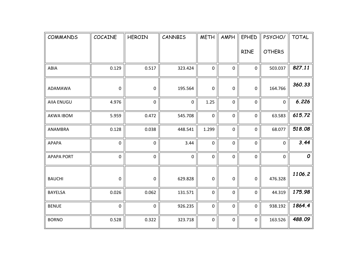| <b>COMMANDS</b>   | COCAINE             | <b>HEROIN</b> | CANNBIS   | <b>METH</b>         | AMPH        | <b>EPHED</b> | PSYCHO/       | <b>TOTAL</b> |
|-------------------|---------------------|---------------|-----------|---------------------|-------------|--------------|---------------|--------------|
|                   |                     |               |           |                     |             | <b>RINE</b>  | <b>OTHERS</b> |              |
| ABIA              | 0.129               | 0.517         | 323.424   | $\pmb{0}$           | 0           | $\mathbf 0$  | 503.037       | 827.11       |
| ADAMAWA           | $\mathbf 0$         | 0             | 195.564   | $\mathbf 0$         | 0           | 0            | 164.766       | 360.33       |
| <b>AIIA ENUGU</b> | 4.976               | $\mathbf 0$   | $\pmb{0}$ | 1.25                | $\pmb{0}$   | $\pmb{0}$    | $\pmb{0}$     | 6.226        |
| <b>AKWA IBOM</b>  | 5.959               | 0.472         | 545.708   | $\mathbf 0$         | $\pmb{0}$   | $\pmb{0}$    | 63.583        | 615.72       |
| ANAMBRA           | 0.128               | 0.038         | 448.541   | 1.299               | $\mathbf 0$ | $\mathbf 0$  | 68.077        | 518.08       |
| <b>APAPA</b>      | $\pmb{0}$           | $\mathbf 0$   | 3.44      | $\pmb{0}$           | $\pmb{0}$   | $\pmb{0}$    | $\mathbf 0$   | 3.44         |
| <b>APAPA PORT</b> | $\mathsf{O}\xspace$ | 0             | $\pmb{0}$ | $\mathsf{O}\xspace$ | $\mathbf 0$ | $\pmb{0}$    | $\mathbf 0$   | 0            |
| <b>BAUCHI</b>     | $\mathsf 0$         | 0             | 629.828   | $\mathbf 0$         | 0           | $\pmb{0}$    | 476.328       | 1106.2       |
| <b>BAYELSA</b>    | 0.026               | 0.062         | 131.571   | $\mathsf{O}\xspace$ | $\mathbf 0$ | $\mathbf 0$  | 44.319        | 175.98       |
| <b>BENUE</b>      | $\mathbf 0$         | $\mathbf 0$   | 926.235   | $\mathbf 0$         | $\pmb{0}$   | $\mathbf 0$  | 938.192       | 1864.4       |
| <b>BORNO</b>      | 0.528               | 0.322         | 323.718   | $\mathbf 0$         | $\pmb{0}$   | $\mathbf 0$  | 163.526       | 488.09       |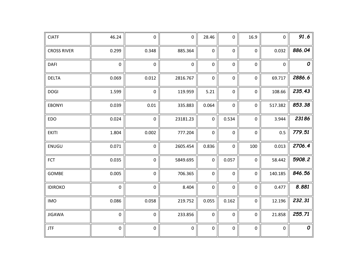| <b>CIATF</b>       | 46.24       | $\pmb{0}$   | $\pmb{0}$   | 28.46               | 0           | 16.9        | $\pmb{0}$        | 91.6               |
|--------------------|-------------|-------------|-------------|---------------------|-------------|-------------|------------------|--------------------|
| <b>CROSS RIVER</b> | 0.299       | 0.348       | 885.364     | $\pmb{0}$           | 0           | $\pmb{0}$   | 0.032            | 886.04             |
| <b>DAFI</b>        | $\mathbf 0$ | $\mathbf 0$ | $\mathbf 0$ | $\pmb{0}$           | 0           | 0           | $\mathbf 0$      | $\pmb{\mathit{O}}$ |
| <b>DELTA</b>       | 0.069       | 0.012       | 2816.767    | $\pmb{0}$           | 0           | 0           | 69.717           | 2886.6             |
| <b>DOGI</b>        | 1.599       | $\pmb{0}$   | 119.959     | 5.21                | $\pmb{0}$   | 0           | 108.66           | 235.43             |
| <b>EBONYI</b>      | 0.039       | 0.01        | 335.883     | 0.064               | $\mathbf 0$ | 0           | 517.382          | 853.38             |
| EDO                | 0.024       | $\mathsf 0$ | 23181.23    | $\mathbf 0$         | 0.534       | $\mathsf 0$ | 3.944            | 23186              |
| <b>EKITI</b>       | 1.804       | 0.002       | 777.204     | $\pmb{0}$           | $\mathbf 0$ | $\mathbf 0$ | 0.5              | 779.51             |
| ENUGU              | 0.071       | $\pmb{0}$   | 2605.454    | 0.836               | $\pmb{0}$   | 100         | 0.013            | 2706.4             |
| <b>FCT</b>         | 0.035       | $\pmb{0}$   | 5849.695    | $\pmb{0}$           | 0.057       | $\pmb{0}$   | 58.442           | 5908.2             |
| <b>GOMBE</b>       | 0.005       | $\mathsf 0$ | 706.365     | $\mathsf{O}\xspace$ | $\mathbf 0$ | $\pmb{0}$   | 140.185          | 846.56             |
| <b>IDIROKO</b>     | $\mathbf 0$ | $\mathbf 0$ | 8.404       | $\mathsf{O}\xspace$ | $\pmb{0}$   | $\pmb{0}$   | 0.477            | 8.881              |
| <b>IMO</b>         | 0.086       | 0.058       | 219.752     | 0.055               | 0.162       | 0           | 12.196           | 232.31             |
| <b>JIGAWA</b>      | $\mathbf 0$ | $\mathbf 0$ | 233.856     | $\pmb{0}$           | $\mathbf 0$ | 0           | 21.858           | 255.71             |
| JTF                | $\pmb{0}$   | $\pmb{0}$   | $\pmb{0}$   | $\pmb{0}$           | $\pmb{0}$   | 0           | $\boldsymbol{0}$ | $\pmb{\mathit{O}}$ |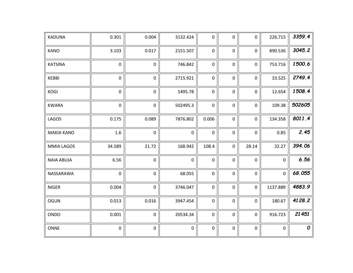| KADUNA            | 0.301       | 0.004       | 3132.424    | $\pmb{0}$           | 0         | $\pmb{0}$   | 226.715             | 3359.4 |
|-------------------|-------------|-------------|-------------|---------------------|-----------|-------------|---------------------|--------|
| <b>KANO</b>       | 3.103       | 0.017       | 2151.507    | $\pmb{0}$           | $\pmb{0}$ | $\pmb{0}$   | 890.536             | 3045.2 |
| <b>KATSINA</b>    | $\pmb{0}$   | $\mathbf 0$ | 746.842     | $\pmb{0}$           | $\pmb{0}$ | $\pmb{0}$   | 753.716             | 1500.6 |
| <b>KEBBI</b>      | $\pmb{0}$   | $\mathbf 0$ | 2715.921    | $\pmb{0}$           | 0         | $\mathbf 0$ | 33.525              | 2749.4 |
| <b>KOGI</b>       | $\pmb{0}$   | 0           | 1495.78     | $\pmb{0}$           | $\pmb{0}$ | $\mathbf 0$ | 12.654              | 1508.4 |
| <b>KWARA</b>      | $\pmb{0}$   | 0           | 502495.3    | $\pmb{0}$           | 0         | $\mathbf 0$ | 109.38              | 502605 |
| LAGOS             | 0.175       | 0.089       | 7876.802    | 0.006               | 0         | $\pmb{0}$   | 134.358             | 8011.4 |
| <b>MAKIA KANO</b> | 1.6         | $\mathbf 0$ | $\mathbf 0$ | $\mathbf 0$         | 0         | $\mathbf 0$ | 0.85                | 2.45   |
| <b>MMIA LAGOS</b> | 34.589      | 21.72       | 168.942     | 108.4               | $\pmb{0}$ | 28.14       | 32.27               | 394.06 |
| <b>NAIA ABUJA</b> | 6.56        | $\pmb{0}$   | $\pmb{0}$   | $\pmb{0}$           | $\pmb{0}$ | $\pmb{0}$   | $\mathsf{O}\xspace$ | 6.56   |
| NASSARAWA         | $\mathbf 0$ | $\pmb{0}$   | 68.055      | $\pmb{0}$           | $\pmb{0}$ | $\pmb{0}$   | $\pmb{0}$           | 68.055 |
| <b>NIGER</b>      | 0.004       | $\pmb{0}$   | 3746.047    | $\mathsf{O}\xspace$ | $\pmb{0}$ | $\pmb{0}$   | 1137.889            | 4883.9 |
| <b>OGUN</b>       | 0.013       | 0.016       | 3947.454    | $\mathsf{O}\xspace$ | $\pmb{0}$ | $\pmb{0}$   | 180.67              | 4128.2 |
| ONDO              | 0.001       | $\mathbf 0$ | 20534.34    | $\mathbf 0$         | $\pmb{0}$ | $\mathbf 0$ | 916.723             | 21451  |
| <b>ONNE</b>       | $\pmb{0}$   | 0           | $\pmb{0}$   | $\mathbf 0$         | 0         | $\pmb{0}$   | $\mathbf 0$         | 0      |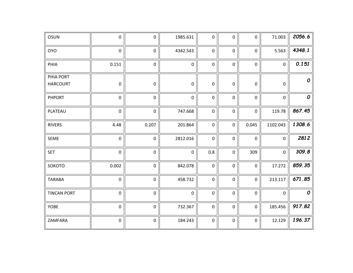| OSUN                         | $\pmb{0}$   | $\mathsf{O}$ | 1985.631    | $\mathsf{O}$        | $\mathbf 0$ | $\mathbf{0}$ | 71.003              | 2056.6           |
|------------------------------|-------------|--------------|-------------|---------------------|-------------|--------------|---------------------|------------------|
| <b>OYO</b>                   | $\pmb{0}$   | $\mathsf{O}$ | 4342.543    | $\mathbf 0$         | $\mathbf 0$ | $\mathbf 0$  | 5.563               | 4348.1           |
| PHIA                         | 0.151       | $\mathbf 0$  | $\pmb{0}$   | $\pmb{0}$           | $\mathbf 0$ | $\pmb{0}$    | $\pmb{0}$           | 0.151            |
| PHIA PORT<br><b>HARCOURT</b> | $\mathsf 0$ | $\pmb{0}$    | $\pmb{0}$   | $\pmb{0}$           | $\pmb{0}$   | $\mathsf 0$  | $\boldsymbol{0}$    | 0                |
| <b>PHPORT</b>                | 0           | $\mathbf 0$  | $\mathbf 0$ | $\pmb{0}$           | 0           | 0            | $\mathbf 0$         | $\boldsymbol{o}$ |
| PLATEAU                      | $\pmb{0}$   | $\mathbf 0$  | 747.668     | $\mathbf 0$         | $\mathbf 0$ | $\mathsf{O}$ | 119.78              | 867.45           |
| <b>RIVERS</b>                | 4.48        | 0.207        | 201.864     | $\pmb{0}$           | $\pmb{0}$   | 0.045        | 1102.043            | 1308.6           |
| <b>SEME</b>                  | $\pmb{0}$   | $\mathbf 0$  | 2812.016    | $\mathsf{O}\xspace$ | $\pmb{0}$   | $\pmb{0}$    | $\mathsf{O}\xspace$ | 2812             |
| <b>SET</b>                   | $\pmb{0}$   | $\pmb{0}$    | $\pmb{0}$   | 0.8                 | $\pmb{0}$   | 309          | $\mathbf 0$         | 309.8            |
| SOKOTO                       | 0.002       | $\pmb{0}$    | 842.078     | $\pmb{0}$           | $\mathbf 0$ | $\pmb{0}$    | 17.272              | 859.35           |
| <b>TARABA</b>                | $\mathbf 0$ | $\mathbf 0$  | 458.732     | $\mathbf 0$         | $\mathbf 0$ | $\mathbf 0$  | 213.117             | 671.85           |
| <b>TINCAN PORT</b>           | $\mathbf 0$ | $\mathbf 0$  | $\mathbf 0$ | $\mathsf{O}$        | $\mathbf 0$ | $\mathbf 0$  | $\mathbf 0$         | $\boldsymbol{o}$ |
| YOBE                         | $\mathsf 0$ | $\pmb{0}$    | 732.367     | $\pmb{0}$           | $\pmb{0}$   | $\mathbf 0$  | 185.456             | 917.82           |
| ZAMFARA                      | $\pmb{0}$   | $\pmb{0}$    | 184.243     | $\mathsf{O}\xspace$ | $\pmb{0}$   | $\pmb{0}$    | 12.129              | 196.37           |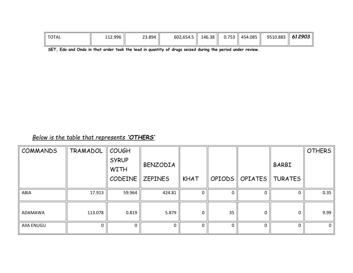| <b>TOTAL</b> | 112.996 | 23.894 | $602,654.5$   146.38 |  | 0.753    454.085 | 9510.883 $\parallel$ 61 2903 |  |
|--------------|---------|--------|----------------------|--|------------------|------------------------------|--|
|              |         |        |                      |  |                  |                              |  |

**SET, Edo and Ondo in that order took the lead in quantity of drugs seized during the period under review.**

# *Below is the table that represents 'OTHERS'*

| COMMANDS   | TRAMADOL | <b>COUGH</b>                |                     |             |          |                  |                | <b>OTHERS</b> |
|------------|----------|-----------------------------|---------------------|-------------|----------|------------------|----------------|---------------|
|            |          | <b>SYRUP</b><br><b>WITH</b> | BENZODIA            |             |          |                  | <b>BARBI</b>   |               |
|            |          | CODEINE                     | $\parallel$ ZEPINES | <b>KHAT</b> |          | OPIODS   OPIATES | <b>TURATES</b> |               |
| ABIA       | 17.913   | 59.964                      | 424.81              | 0           |          | $\Omega$         | 0              | 0.35          |
| ADAMAWA    | 113.078  | 0.819                       | 5.879               | $\Omega$    | 35       | 0                | 0              | 9.99          |
| AIIA ENUGU | $\Omega$ |                             |                     | 0           | $\Omega$ | $\Omega$         | $\Omega$       | 0             |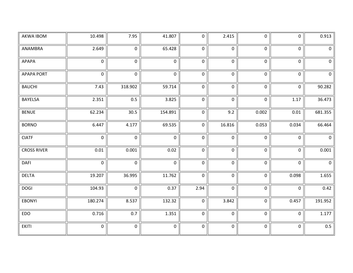| AKWA IBOM          | 10.498         | 7.95                | 41.807       | 0                   | 2.415       | $\mathsf{O}$        | $\mathbf 0$         | 0.913        |
|--------------------|----------------|---------------------|--------------|---------------------|-------------|---------------------|---------------------|--------------|
| ANAMBRA            | 2.649          | $\mathbf{0}$        | 65.428       | $\mathbf 0$         | $\mathbf 0$ | $\mathbf 0$         | $\mathsf{O}\xspace$ | $\mathbf 0$  |
| APAPA              | $\mathbf 0$    | $\mathbf 0$         | $\mathbf 0$  | $\mathbf 0$         | $\mathbf 0$ | $\mathbf 0$         | $\pmb{0}$           | $\mathbf 0$  |
| <b>APAPA PORT</b>  | $\mathbf 0$    | $\mathbf 0$         | $\mathbf 0$  | $\mathsf 0$         | $\pmb{0}$   | $\mathbf 0$         | $\mathsf 0$         | $\mathbf 0$  |
| <b>BAUCHI</b>      | 7.43           | 318.902             | 59.714       | $\mathsf{O}\xspace$ | $\pmb{0}$   | $\pmb{0}$           | $\mathsf{O}\xspace$ | 90.282       |
| BAYELSA            | 2.351          | 0.5                 | 3.825        | $\pmb{0}$           | $\mathbf 0$ | $\pmb{0}$           | 1.17                | 36.473       |
| <b>BENUE</b>       | 62.234         | 30.5                | 154.891      | $\pmb{0}$           | 9.2         | 0.002               | 0.01                | 681.355      |
| <b>BORNO</b>       | 6.447          | 4.177               | 69.535       | $\mathsf 0$         | 16.816      | 0.053               | 0.034               | 66.464       |
| <b>CIATF</b>       | $\mathbf 0$    | $\mathbf 0$         | $\mathbf 0$  | $\mathbf 0$         | $\mathbf 0$ | $\mathbf 0$         | $\mathsf 0$         | $\mathbf{0}$ |
| <b>CROSS RIVER</b> | 0.01           | 0.001               | 0.02         | $\mathsf 0$         | $\mathbf 0$ | $\mathbf 0$         | $\mathsf 0$         | 0.001        |
| <b>DAFI</b>        | $\mathbf 0$    | $\mathbf 0$         | $\mathbf{0}$ | $\mathsf 0$         | $\pmb{0}$   | $\pmb{0}$           | $\mathsf{O}\xspace$ | $\mathbf 0$  |
| <b>DELTA</b>       | 19.207         | 36.995              | 11.762       | $\mathbf 0$         | $\mathbf 0$ | $\mathbf 0$         | 0.098               | 1.655        |
| <b>DOGI</b>        | 104.93         | $\mathbf 0$         | 0.37         | 2.94                | $\mathbf 0$ | $\mathbf 0$         | $\mathsf 0$         | 0.42         |
| <b>EBONYI</b>      | 180.274        | 8.537               | 132.32       | $\mathsf 0$         | 3.842       | $\mathsf{O}\xspace$ | 0.457               | 191.952      |
| EDO                | 0.716          | 0.7                 | 1.351        | $\mathsf 0$         | $\mathbf 0$ | $\pmb{0}$           | $\pmb{0}$           | 1.177        |
| EKITI              | $\overline{0}$ | $\mathsf{O}\xspace$ | $\mathbf 0$  | $\pmb{0}$           | $\pmb{0}$   | $\mathsf{O}\xspace$ | $\pmb{0}$           | 0.5          |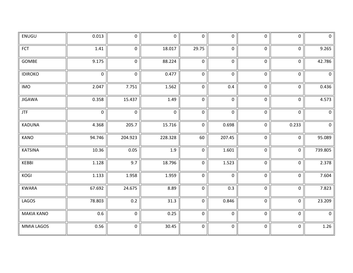| ENUGU             | 0.013       | $\mathbf 0$ | $\mathbf 0$ | $\mathbf 0$ | $\mathbf 0$ | $\mathbf 0$         | $\mathbf 0$         | $\mathbf 0$    |
|-------------------|-------------|-------------|-------------|-------------|-------------|---------------------|---------------------|----------------|
| <b>FCT</b>        | 1.41        | $\pmb{0}$   | 18.017      | 29.75       | $\pmb{0}$   | $\mathsf 0$         | $\mathsf{O}\xspace$ | 9.265          |
| GOMBE             | 9.175       | $\pmb{0}$   | 88.224      | $\pmb{0}$   | $\mathbf 0$ | $\pmb{0}$           | $\pmb{0}$           | 42.786         |
| <b>IDIROKO</b>    | $\mathbf 0$ | $\mathbf 0$ | 0.477       | $\pmb{0}$   | $\mathbf 0$ | $\pmb{0}$           | $\pmb{0}$           | $\mathsf 0$    |
| <b>IMO</b>        | 2.047       | 7.751       | 1.562       | $\pmb{0}$   | 0.4         | $\mathsf 0$         | $\mathsf{O}\xspace$ | 0.436          |
| <b>JIGAWA</b>     | 0.358       | 15.437      | 1.49        | $\mathbf 0$ | $\mathbf 0$ | $\pmb{0}$           | $\pmb{0}$           | 4.573          |
| <b>JTF</b>        | $\mathbf 0$ | $\mathbf 0$ | $\mathbf 0$ | $\pmb{0}$   | $\mathbf 0$ | $\pmb{0}$           | $\pmb{0}$           | $\mathbf 0$    |
| KADUNA            | 4.368       | 205.7       | 15.716      | $\pmb{0}$   | 0.698       | $\mathbf 0$         | 0.233               | $\overline{0}$ |
| KANO              | 94.746      | 204.923     | 228.328     | 60          | 207.45      | $\mathsf{O}\xspace$ | $\pmb{0}$           | 95.089         |
| <b>KATSINA</b>    | 10.36       | 0.05        | 1.9         | $\pmb{0}$   | 1.601       | $\pmb{0}$           | $\mathsf{O}\xspace$ | 739.805        |
| KEBBI             | 1.128       | 9.7         | 18.796      | $\pmb{0}$   | 1.523       | $\pmb{0}$           | $\mathbf 0$         | 2.378          |
| KOGI              | 1.133       | 1.958       | 1.959       | $\mathbf 0$ | $\mathbf 0$ | $\mathsf{O}\xspace$ | $\mathsf{O}\xspace$ | 7.604          |
| <b>KWARA</b>      | 67.692      | 24.675      | 8.89        | $\pmb{0}$   | 0.3         | $\pmb{0}$           | $\mathbf 0$         | 7.823          |
| LAGOS             | 78.803      | 0.2         | 31.3        | $\pmb{0}$   | 0.846       | $\overline{0}$      | $\overline{0}$      | 23.209         |
| <b>MAKIA KANO</b> | 0.6         | $\mathbf 0$ | 0.25        | $\mathbf 0$ | $\mathbf 0$ | $\pmb{0}$           | $\pmb{0}$           | $\mathbf 0$    |
| MMIA LAGOS        | 0.56        | $\pmb{0}$   | 30.45       | $\pmb{0}$   | $\pmb{0}$   | $\pmb{0}$           | $\mathsf{O}\xspace$ | 1.26           |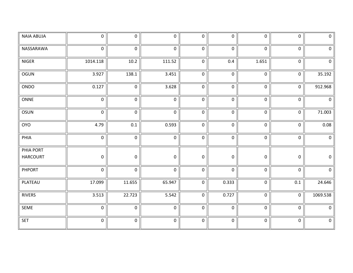| <b>NAIA ABUJA</b> | $\mathsf{O}\xspace$ | $\mathbf 0$ | $\mathbf 0$ | $\mathbf 0$      | $\mathbf 0$ | $\mathsf 0$         | $\mathsf 0$         | $\mathbf 0$ |
|-------------------|---------------------|-------------|-------------|------------------|-------------|---------------------|---------------------|-------------|
| NASSARAWA         | $\mathbf 0$         | $\pmb{0}$   | $\mathbf 0$ | $\pmb{0}$        | $\mathbf 0$ | $\pmb{0}$           | $\mathbf 0$         | $\mathbf 0$ |
| NIGER             | 1014.118            | $10.2\,$    | 111.52      | $\mathbf 0$      | 0.4         | 1.651               | $\mathbf 0$         | $\mathbf 0$ |
| OGUN              | 3.927               | 138.1       | 3.451       | $\pmb{0}$        | $\pmb{0}$   | $\mathbf 0$         | $\mathsf{O}\xspace$ | 35.192      |
| ONDO              | 0.127               | $\mathbf 0$ | 3.628       | $\pmb{0}$        | $\mathbf 0$ | $\pmb{0}$           | $\mathsf{O}\xspace$ | 912.968     |
| ONNE              | $\mathbf 0$         | $\pmb{0}$   | $\mathbf 0$ | $\mathbf 0$      | $\mathbf 0$ | $\mathsf{O}\xspace$ | $\mathsf{O}\xspace$ | $\mathbf 0$ |
| <b>OSUN</b>       | $\mathbf 0$         | $\mathsf 0$ | $\mathbf 0$ | $\boldsymbol{0}$ | $\mathbf 0$ | $\mathsf 0$         | $\mathbf 0$         | 71.003      |
| <b>OYO</b>        | 4.79                | 0.1         | 0.593       | $\mathbf 0$      | $\mathbf 0$ | $\mathsf 0$         | $\mathbf 0$         | 0.08        |
| PHIA              | $\mathbf 0$         | $\pmb{0}$   | $\mathbf 0$ | $\pmb{0}$        | $\mathbf 0$ | $\overline{0}$      | $\mathbf 0$         | $\mathsf 0$ |
| PHIA PORT         |                     |             |             |                  |             |                     |                     |             |
| <b>HARCOURT</b>   | 0                   | $\mathbf 0$ | $\mathbf 0$ | $\pmb{0}$        | $\mathbf 0$ | $\pmb{0}$           | $\pmb{0}$           | $\mathbf 0$ |
| <b>PHPORT</b>     | $\mathbf 0$         | $\pmb{0}$   | $\mathbf 0$ | $\pmb{0}$        | $\mathbf 0$ | $\mathsf 0$         | $\mathbf 0$         | $\mathbf 0$ |
| PLATEAU           | 17.099              | 11.655      | 65.947      | $\mathbf 0$      | 0.333       | $\mathsf 0$         | 0.1                 | 24.646      |
| <b>RIVERS</b>     | 3.513               | 22.723      | 5.542       | $\mathbf 0$      | 0.727       | $\pmb{0}$           | $\mathbf 0$         | 1069.538    |
| SEME              | $\mathbf 0$         | $\mathbf 0$ | $\mathbf 0$ | $\mathbf 0$      | $\mathbf 0$ | $\mathsf{O}\xspace$ | $\mathbf 0$         | $\mathbf 0$ |
| <b>SET</b>        | $\mathbf 0$         | $\pmb{0}$   | $\mathbf 0$ | $\pmb{0}$        | $\pmb{0}$   | $\pmb{0}$           | $\pmb{0}$           | $\mathsf 0$ |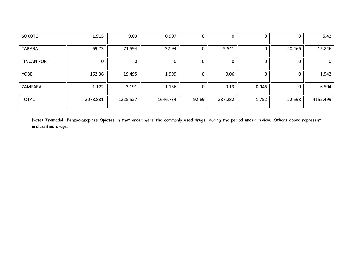| SOKOTO             | 1.915    | 9.03     | 0.907    | 0     | 0       |       |        | 5.42         |
|--------------------|----------|----------|----------|-------|---------|-------|--------|--------------|
| <b>TARABA</b>      | 69.73    | 71.594   | 32.94    | 0     | 5.541   |       | 20.466 | 12.846       |
| <b>TINCAN PORT</b> |          |          |          |       |         |       |        | $\mathbf{0}$ |
| <b>YOBE</b>        | 162.36   | 19.495   | 1.999    | 0     | 0.06    |       |        | 1.542        |
| ZAMFARA            | 1.122    | 3.191    | 1.136    | 0     | 0.13    | 0.046 |        | 6.504        |
| <b>TOTAL</b>       | 2078.831 | 1225.527 | 1646.734 | 92.69 | 287.282 | 1.752 | 22.568 | 4155.499     |

**Note: Tramadol, Benzodiazepines Opiates in that order were the commonly used drugs, during the period under review. Others above represent unclassified drugs.**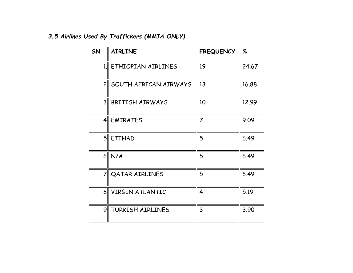# *3.5 Airlines Used By Traffickers (MMIA ONLY)*

| SN              | <b>AIRLINE</b>          | <b>FREQUENCY</b> | %     |
|-----------------|-------------------------|------------------|-------|
| 1               | ETHIOPIAN AIRLINES      | 19               | 24.67 |
|                 | 2 SOUTH AFRICAN AIRWAYS | 13               | 16.88 |
| 3 <sup>  </sup> | <b>BRITISH AIRWAYS</b>  | 10               | 12.99 |
|                 | 4 EMIRATES              | $\overline{7}$   | 9.09  |
|                 | 5 ETIHAD                | 5                | 6.49  |
|                 | $6$ N/A                 | 5                | 6.49  |
| $\overline{7}$  | QATAR AIRLINES          | 5                | 6.49  |
| 8 <sup>  </sup> | VIRGIN ATLANTIC         | 4                | 5.19  |
| 91              | <b>TURKISH AIRLINES</b> | 3                | 3.90  |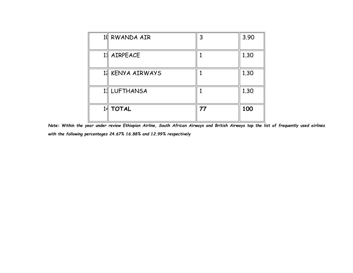| 11 RWANDA AIR    | 3  | 3.90 |
|------------------|----|------|
| AIRPEACE         |    | 1.30 |
| 11 KENYA AIRWAYS |    | 1.30 |
| 1:   LUFTHANSA   |    | 1.30 |
| <b>TOTAL</b>     | 77 | 100  |

*Note: Within the year under review Ethiopian Airline, South African Airways and British Airways top the list of frequently used airlines with the following percentages 24.67% 16.88% and 12.99% respectively*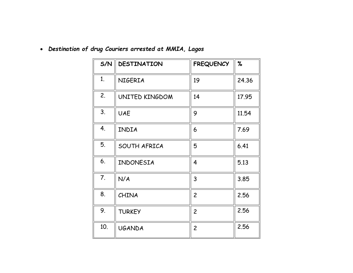| S/N | <b>DESTINATION</b> | <b>FREQUENCY</b> | %     |
|-----|--------------------|------------------|-------|
| 1.  | NIGERIA            | 19               | 24.36 |
| 2.  | UNITED KINGDOM     | 14               | 17.95 |
| 3.  | <b>UAE</b>         | 9                | 11.54 |
| 4.  | INDIA              | 6                | 7.69  |
| 5.  | SOUTH AFRICA       | 5                | 6.41  |
| 6.  | INDONESIA          | 4                | 5.13  |
| 7.  | N/A                | 3                | 3.85  |
| 8.  | <b>CHINA</b>       | $\overline{c}$   | 2.56  |
| 9.  | <b>TURKEY</b>      | $\overline{c}$   | 2.56  |
| 10. | <b>UGANDA</b>      | $\overline{c}$   | 2.56  |

• *Destination of drug Couriers arrested at MMIA, Lagos*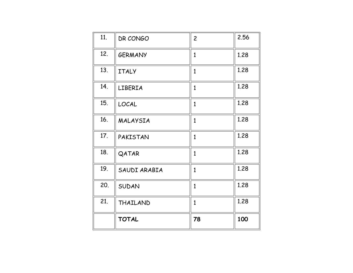| 21. | THAILAND       | $\mathbf{1}$   | 1.28 |
|-----|----------------|----------------|------|
|     |                |                |      |
| 20. | SUDAN          | 1              | 1.28 |
| 19. | SAUDI ARABIA   | $\mathbf{1}$   | 1.28 |
| 18. | QATAR          | $\mathbf{1}$   | 1.28 |
| 17. | PAKISTAN       | $\mathbf{1}$   | 1.28 |
| 16. | MALAYSIA       | $\mathbf{1}$   | 1.28 |
| 15. | LOCAL          | $\mathbf{1}$   | 1.28 |
| 14. | LIBERIA        | $\mathbf{1}$   | 1.28 |
| 13. | <b>ITALY</b>   | $\mathbf{1}$   | 1.28 |
| 12. | <b>GERMANY</b> | $\mathbf{1}$   | 1.28 |
| 11. | DR CONGO       | $\overline{c}$ | 2.56 |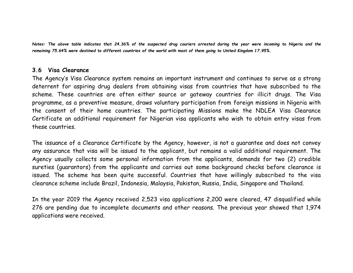*Notes: The above table indicates that 24.36% of the suspected drug couriers arrested during the year were incoming to Nigeria and the remaining 75.64% were destined to different countries of the world with most of them going to United Kingdom 17.95%.*

#### **3.6 Visa Clearance**

The Agency's Visa Clearance system remains an important instrument and continues to serve as a strong deterrent for aspiring drug dealers from obtaining visas from countries that have subscribed to the scheme. These countries are often either source or gateway countries for illicit drugs. The Visa programme, as a preventive measure, draws voluntary participation from foreign missions in Nigeria with the consent of their home countries. The participating Missions make the NDLEA Visa Clearance Certificate an additional requirement for Nigerian visa applicants who wish to obtain entry visas from these countries.

The issuance of a Clearance Certificate by the Agency, however, is not a guarantee and does not convey any assurance that visa will be issued to the applicant, but remains a valid additional requirement. The Agency usually collects some personal information from the applicants, demands for two (2) credible sureties (guarantors) from the applicants and carries out some background checks before clearance is issued. The scheme has been quite successful. Countries that have willingly subscribed to the visa clearance scheme include Brazil, Indonesia, Malaysia, Pakistan, Russia, India, Singapore and Thailand.

In the year 2019 the Agency received 2,523 visa applications 2,200 were cleared, 47 disqualified while 276 are pending due to incomplete documents and other reasons. The previous year showed that 1,974 applications were received.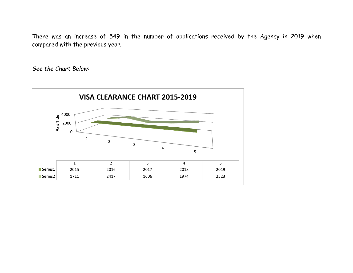There was an increase of 549 in the number of applications received by the Agency in 2019 when compared with the previous year.

*See the Chart Below:*

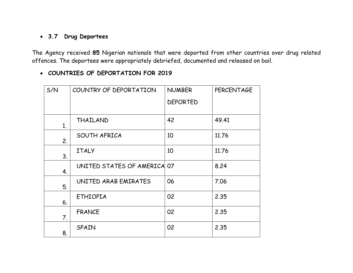# • **3.7 Drug Deportees**

The Agency received **85** Nigerian nationals that were deported from other countries over drug related offences. The deportees were appropriately debriefed, documented and released on bail.

#### • **COUNTRIES OF DEPORTATION FOR 2019**

| S/N | COUNTRY OF DEPORTATION      | <b>NUMBER</b>   | <b>PERCENTAGE</b> |
|-----|-----------------------------|-----------------|-------------------|
|     |                             | <b>DEPORTED</b> |                   |
| 1.  | THAILAND                    | 42              | 49.41             |
| 2.  | SOUTH AFRICA                | 10              | 11.76             |
| 3.  | <b>ITALY</b>                | 10              | 11.76             |
| 4.  | UNITED STATES OF AMERICA 07 |                 | 8.24              |
| 5.  | UNITED ARAB EMIRATES        | 06              | 7.06              |
| 6.  | <b>ETHIOPIA</b>             | 02              | 2.35              |
| 7.  | <b>FRANCE</b>               | 02              | 2.35              |
| 8.  | SPAIN                       | 02              | 2.35              |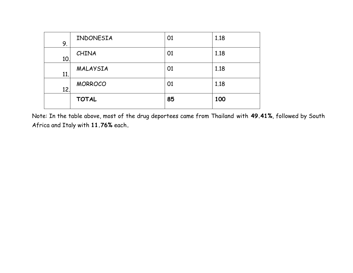| 9.  | INDONESIA      | 01 | 1.18 |
|-----|----------------|----|------|
| 10. | CHINA          | 01 | 1.18 |
| 11. | MALAYSIA       | 01 | 1.18 |
| 12. | <b>MORROCO</b> | 01 | 1.18 |
|     | <b>TOTAL</b>   | 85 | 100  |

Note: In the table above, most of the drug deportees came from Thailand with **49.41%**, followed by South Africa and Italy with **11.76%** each**.**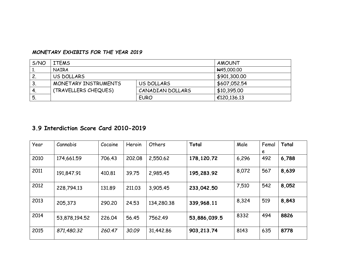#### *MONETARY EXHIBITS FOR THE YEAR 2019*

| S/NO | <b>ITEMS</b>         | AMOUNT           |              |
|------|----------------------|------------------|--------------|
| ٠.   | <b>NAIRA</b>         | H45,000.00       |              |
| 2    | US DOLLARS           |                  | \$901,300.00 |
| 3.   | MONETARY INSTRUMENTS | US DOLLARS       | \$607,052.54 |
| 4.   | (TRAVELLERS CHEQUES) | CANADIAN DOLLARS | \$10,395.00  |
| 5.   |                      | <b>EURO</b>      | €120,136.13  |

#### **3.9 Interdiction Score Card 2010-2019**

| Year | Cannabis      | Cocaine | Heroin | Others     | Total        | Male  | Femal<br>e | Total |
|------|---------------|---------|--------|------------|--------------|-------|------------|-------|
| 2010 | 174,661.59    | 706.43  | 202,08 | 2,550.62   | 178,120.72   | 6,296 | 492        | 6,788 |
| 2011 | 191,847.91    | 410.81  | 39.75  | 2,985.45   | 195,283.92   | 8,072 | 567        | 8,639 |
| 2012 | 228,794.13    | 131.89  | 211,03 | 3.905.45   | 233,042.50   | 7,510 | 542        | 8,052 |
| 2013 | 205,373       | 290.20  | 24.53  | 134,280.38 | 339,968.11   | 8,324 | 519        | 8,843 |
| 2014 | 53,878,194.52 | 226.04  | 56.45  | 7562.49    | 53,886,039.5 | 8332  | 494        | 8826  |
| 2015 | 871,480.32    | 260.47  | 30.09  | 31,442.86  | 903, 213. 74 | 8143  | 635        | 8778  |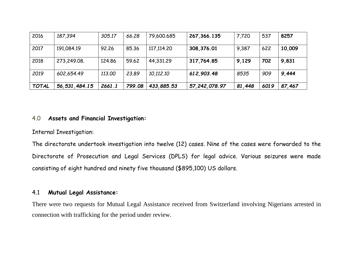| 2016         | 187,394          | 305.17 | 66.28  | 79,600.685   | 267, 366, 135   | 7,720  | 537  | 8257   |
|--------------|------------------|--------|--------|--------------|-----------------|--------|------|--------|
| 2017         | 191,084.19       | 92.26  | 85.36  | 117, 114, 20 | 308,376.01      | 9,387  | 622  | 10,009 |
| 2018         | 273,249.08.      | 124.86 | 59.62  | 44,331,29    | 317,764.85      | 9,129  | 702  | 9,831  |
| 2019         | 602,654.49       | 113.00 | 23.89  | 10,112.10    | 612,903.48      | 8535   | 909  | 9,444  |
| <b>TOTAL</b> | 56, 531, 484. 15 | 2661.1 | 799.08 | 433,885.53   | 57, 242, 078.97 | 81,448 | 6019 | 87,467 |

#### 4.0 **Assets and Financial Investigation:**

Internal Investigation:

The directorate undertook investigation into twelve (12) cases. Nine of the cases were forwarded to the Directorate of Prosecution and Legal Services (DPLS) for legal advice. Various seizures were made consisting of eight hundred and ninety five thousand (\$895,100) US dollars.

#### 4.1 **Mutual Legal Assistance:**

There were two requests for Mutual Legal Assistance received from Switzerland involving Nigerians arrested in connection with trafficking for the period under review.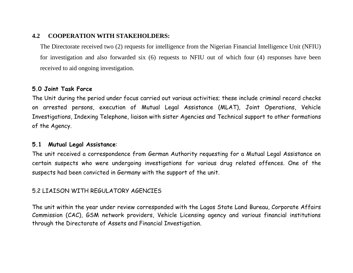#### **4.2 COOPERATION WITH STAKEHOLDERS:**

The Directorate received two (2) requests for intelligence from the Nigerian Financial Intelligence Unit (NFIU) for investigation and also forwarded six (6) requests to NFIU out of which four (4) responses have been received to aid ongoing investigation.

#### **5.0 Joint Task Force**

The Unit during the period under focus carried out various activities; these include criminal record checks on arrested persons, execution of Mutual Legal Assistance (MLAT), Joint Operations, Vehicle Investigations, Indexing Telephone, liaison with sister Agencies and Technical support to other formations of the Agency.

#### **5.1 Mutual Legal Assistance**:

The unit received a correspondence from German Authority requesting for a Mutual Legal Assistance on certain suspects who were undergoing investigations for various drug related offences. One of the suspects had been convicted in Germany with the support of the unit.

#### 5.2 LIAISON WITH REGULATORY AGENCIES

The unit within the year under review corresponded with the Lagos State Land Bureau, Corporate Affairs Commission (CAC), GSM network providers, Vehicle Licensing agency and various financial institutions through the Directorate of Assets and Financial Investigation.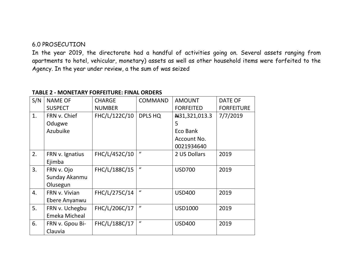#### 6.0 PROSECUTION

In the year 2019, the directorate had a handful of activities going on. Several assets ranging from apartments to hotel, vehicular, monetary) assets as well as other household items were forfeited to the Agency. In the year under review, a the sum of was seized

| S/N | <b>NAME OF</b>  | <b>CHARGE</b> | <b>COMMAND</b>   | <b>AMOUNT</b>    | <b>DATE OF</b>    |
|-----|-----------------|---------------|------------------|------------------|-------------------|
|     | <b>SUSPECT</b>  | <b>NUMBER</b> |                  | <b>FORFEITED</b> | <b>FORFEITURE</b> |
| 1.  | FRN v. Chief    | FHC/L/122C/10 | <b>DPLS HQ</b>   | Nati 321,013.3   | 7/7/2019          |
|     | Odugwe          |               |                  | 5                |                   |
|     | Azubuike        |               |                  | Eco Bank         |                   |
|     |                 |               |                  | Account No.      |                   |
|     |                 |               |                  | 0021934640       |                   |
| 2.  | FRN v. Ignatius | FHC/L/452C/10 | $\mathcal{U}$    | 2 US Dollars     | 2019              |
|     | Ejimba          |               |                  |                  |                   |
| 3.  | FRN v. Ojo      | FHC/L/188C/15 | $\mathbf{u}$     | <b>USD700</b>    | 2019              |
|     | Sunday Akanmu   |               |                  |                  |                   |
|     | Olusegun        |               |                  |                  |                   |
| 4.  | FRN v. Vivian   | FHC/L/275C/14 | $\mathbf{u}$     | <b>USD400</b>    | 2019              |
|     | Ebere Anyanwu   |               |                  |                  |                   |
| 5.  | FRN v. Uchegbu  | FHC/L/206C/17 | $\boldsymbol{u}$ | <b>USD1000</b>   | 2019              |
|     | Emeka Micheal   |               |                  |                  |                   |
| 6.  | FRN v. Gpou Bi- | FHC/L/188C/17 | $\boldsymbol{u}$ | <b>USD400</b>    | 2019              |
|     | Clauvia         |               |                  |                  |                   |

#### **TABLE 2 - MONETARY FORFEITURE: FINAL ORDERS**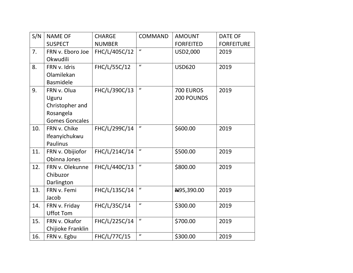| S/N | <b>NAME OF</b>        | <b>CHARGE</b> | <b>COMMAND</b>             | <b>AMOUNT</b>    | <b>DATE OF</b>    |
|-----|-----------------------|---------------|----------------------------|------------------|-------------------|
|     | <b>SUSPECT</b>        | <b>NUMBER</b> |                            | <b>FORFEITED</b> | <b>FORFEITURE</b> |
| 7.  | FRN v. Eboro Joe      | FHC/L/405C/12 | $\boldsymbol{u}$           | USD2,000         | 2019              |
|     | Okwudili              |               |                            |                  |                   |
| 8.  | FRN v. Idris          | FHC/L/55C/12  | $\mathbf{u}$               | <b>USD620</b>    | 2019              |
|     | Olamilekan            |               |                            |                  |                   |
|     | <b>Basmidele</b>      |               |                            |                  |                   |
| 9.  | FRN v. Olua           | FHC/L/390C/13 | $\mathbf{u}$               | <b>700 EUROS</b> | 2019              |
|     | Uguru                 |               |                            | 200 POUNDS       |                   |
|     | Christopher and       |               |                            |                  |                   |
|     | Rosangela             |               |                            |                  |                   |
|     | <b>Gomes Goncales</b> |               |                            |                  |                   |
| 10. | FRN v. Chike          | FHC/L/299C/14 | $\boldsymbol{u}$           | \$600.00         | 2019              |
|     | Ifeanyichukwu         |               |                            |                  |                   |
|     | <b>Paulinus</b>       |               |                            |                  |                   |
| 11. | FRN v. Obijiofor      | FHC/L/214C/14 | $\boldsymbol{u}$           | \$500.00         | 2019              |
|     | Obinna Jones          |               |                            |                  |                   |
| 12. | FRN v. Olekunne       | FHC/L/440C/13 | $\boldsymbol{u}$           | \$800.00         | 2019              |
|     | Chibuzor              |               |                            |                  |                   |
|     | Darlington            |               |                            |                  |                   |
| 13. | FRN v. Femi           | FHC/L/135C/14 | $\boldsymbol{u}$           | H95,390.00       | 2019              |
|     | Jacob                 |               |                            |                  |                   |
| 14. | FRN v. Friday         | FHC/L/35C/14  | $\mathbf{u}$               | \$300.00         | 2019              |
|     | <b>Uffot Tom</b>      |               |                            |                  |                   |
| 15. | FRN v. Okafor         | FHC/L/225C/14 | $\boldsymbol{\mathcal{U}}$ | \$700.00         | 2019              |
|     | Chijioke Franklin     |               |                            |                  |                   |
| 16. | FRN v. Egbu           | FHC/L/77C/15  | $\mathbf{u}$               | \$300.00         | 2019              |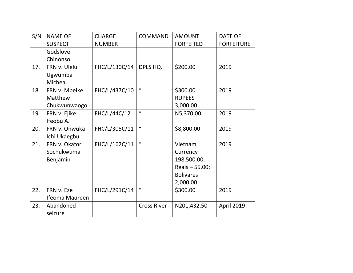| S/N | <b>NAME OF</b>       | <b>CHARGE</b>            | <b>COMMAND</b>     | <b>AMOUNT</b>    | <b>DATE OF</b>    |
|-----|----------------------|--------------------------|--------------------|------------------|-------------------|
|     | <b>SUSPECT</b>       | <b>NUMBER</b>            |                    | <b>FORFEITED</b> | <b>FORFEITURE</b> |
|     | Godslove             |                          |                    |                  |                   |
|     | Chinonso             |                          |                    |                  |                   |
| 17. | FRN v. Ulelu         | FHC/L/130C/14            | DPLS HQ.           | \$200.00         | 2019              |
|     | Ugwumba              |                          |                    |                  |                   |
|     | Micheal              |                          |                    |                  |                   |
| 18. | FRN v. Mbeike        | FHC/L/437C/10            | $\boldsymbol{u}$   | \$300.00         | 2019              |
|     | Matthew              |                          |                    | <b>RUPEES</b>    |                   |
|     | Chukwunwaogo         |                          |                    | 3,000.00         |                   |
| 19. | FRN v. Ejike         | FHC/L/44C/12             | $\boldsymbol{u}$   | N5,370.00        | 2019              |
|     | Ifeobu A.            |                          |                    |                  |                   |
| 20. | FRN v. Onwuka        | FHC/L/305C/11            | $\boldsymbol{u}$   | \$8,800.00       | 2019              |
|     | Ichi Ukaegbu         |                          |                    |                  |                   |
| 21. | FRN v. Okafor        | FHC/L/162C/11            | $\mathbf{u}$       | Vietnam          | 2019              |
|     | Sochukwuma           |                          |                    | Currency         |                   |
|     | Benjamin             |                          |                    | 198,500.00;      |                   |
|     |                      |                          |                    | Reais - 55,00;   |                   |
|     |                      |                          |                    | Bolivares-       |                   |
|     |                      |                          |                    | 2,000.00         |                   |
| 22. | FRN v. Eze           | FHC/L/291C/14            | $\boldsymbol{u}$   | \$300.00         | 2019              |
|     | Ifeoma Maureen       |                          |                    |                  |                   |
| 23. | Abandoned<br>seizure | $\overline{\phantom{a}}$ | <b>Cross River</b> | ₩201,432.50      | <b>April 2019</b> |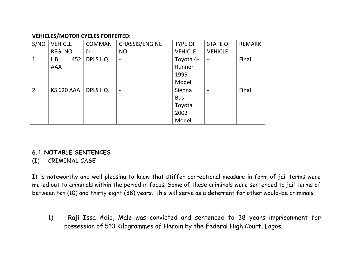#### **VEHICLES/MOTOR CYCLES FORFEITED:**

| S/NO | <b>VEHICLE</b>    | <b>COMMAN</b> | CHASSIS/ENGINE | <b>TYPE OF</b> | <b>STATE OF</b> | <b>REMARK</b> |
|------|-------------------|---------------|----------------|----------------|-----------------|---------------|
|      | REG. NO.          | D             | NO.            | <b>VEHICLE</b> | <b>VEHICLE</b>  |               |
| 1.   | 452<br>HB         | DPLS HQ.      | $\overline{a}$ | Toyota 4-      | $\overline{a}$  | Final         |
|      | AAA               |               |                | Runner         |                 |               |
|      |                   |               |                | 1999           |                 |               |
|      |                   |               |                | Model          |                 |               |
| 2.   | <b>KS 620 AAA</b> | DPLS HQ.      | $\overline{a}$ | Sienna         | ٠               | Final         |
|      |                   |               |                | <b>Bus</b>     |                 |               |
|      |                   |               |                | Toyota         |                 |               |
|      |                   |               |                | 2002           |                 |               |
|      |                   |               |                | Model          |                 |               |

# **6.1 NOTABLE SENTENCES**

#### (I) CRIMINAL CASE

It is noteworthy and well pleasing to know that stiffer correctional measure in form of jail terms were meted out to criminals within the period in focus. Some of these criminals were sentenced to jail terms of between ten (10) and thirty eight (38) years. This will serve as a deterrent for other would-be criminals.

1) Raji Issa Adio, Male was convicted and sentenced to 38 years imprisonment for possession of 510 Kilogrammes of Heroin by the Federal High Court, Lagos.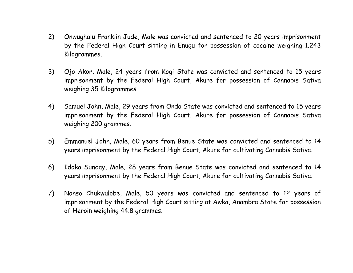- 2) Onwughalu Franklin Jude, Male was convicted and sentenced to 20 years imprisonment by the Federal High Court sitting in Enugu for possession of cocaine weighing 1.243 Kilogrammes.
- 3) Ojo Akor, Male, 24 years from Kogi State was convicted and sentenced to 15 years imprisonment by the Federal High Court, Akure for possession of Cannabis Sativa weighing 35 Kilogrammes
- 4) Samuel John, Male, 29 years from Ondo State was convicted and sentenced to 15 years imprisonment by the Federal High Court, Akure for possession of Cannabis Sativa weighing 200 grammes.
- 5) Emmanuel John, Male, 60 years from Benue State was convicted and sentenced to 14 years imprisonment by the Federal High Court, Akure for cultivating Cannabis Sativa.
- 6) Idoko Sunday, Male, 28 years from Benue State was convicted and sentenced to 14 years imprisonment by the Federal High Court, Akure for cultivating Cannabis Sativa.
- 7) Nonso Chukwulobe, Male, 50 years was convicted and sentenced to 12 years of imprisonment by the Federal High Court sitting at Awka, Anambra State for possession of Heroin weighing 44.8 grammes.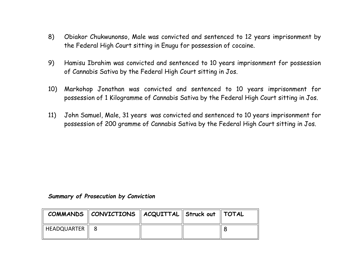- 8) Obiakor Chukwunonso, Male was convicted and sentenced to 12 years imprisonment by the Federal High Court sitting in Enugu for possession of cocaine.
- 9) Hamisu Ibrahim was convicted and sentenced to 10 years imprisonment for possession of Cannabis Sativa by the Federal High Court sitting in Jos.
- 10) Markohop Jonathan was convicted and sentenced to 10 years imprisonment for possession of 1 Kilogramme of Cannabis Sativa by the Federal High Court sitting in Jos.
- 11) John Samuel, Male, 31 years was convicted and sentenced to 10 years imprisonment for possession of 200 gramme of Cannabis Sativa by the Federal High Court sitting in Jos.

#### *Summary of Prosecution by Conviction*

|                  | COMMANDS $\parallel$ CONVICTIONS $\parallel$ ACQUITTAL $\parallel$ Struck out $\parallel$ TOTAL |  |  |
|------------------|-------------------------------------------------------------------------------------------------|--|--|
| HEADQUARTER    8 |                                                                                                 |  |  |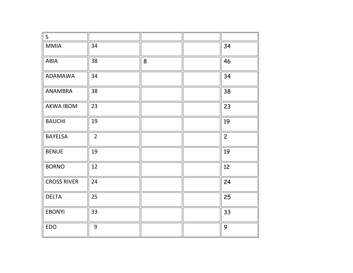| $\mathsf S$        |                |   |                |
|--------------------|----------------|---|----------------|
| <b>MMIA</b>        | 34             |   | 34             |
| ABIA               | 38             | 8 | 46             |
| <b>ADAMAWA</b>     | 34             |   | 34             |
| ANAMBRA            | 38             |   | 38             |
| AKWA IBOM          | 23             |   | 23             |
| <b>BAUCHI</b>      | 19             |   | 19             |
| <b>BAYELSA</b>     | $\overline{2}$ |   | $\overline{c}$ |
| <b>BENUE</b>       | 19             |   | 19             |
| <b>BORNO</b>       | 12             |   | 12             |
| <b>CROSS RIVER</b> | 24             |   | 24             |
| <b>DELTA</b>       | 25             |   | 25             |
| <b>EBONYI</b>      | 33             |   | 33             |
| <b>EDO</b>         | 9              |   | 9              |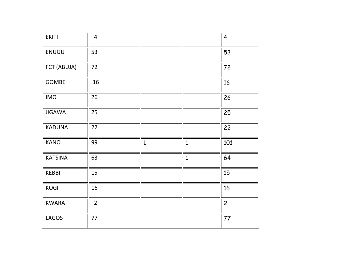| <b>EKITI</b>   | $\overline{4}$ |              |              | $\overline{\mathbf{4}}$ |
|----------------|----------------|--------------|--------------|-------------------------|
| ENUGU          | 53             |              |              | 53                      |
| FCT (ABUJA)    | 72             |              |              | 72                      |
| <b>GOMBE</b>   | 16             |              |              | 16                      |
| <b>IMO</b>     | 26             |              |              | 26                      |
| <b>JIGAWA</b>  | 25             |              |              | 25                      |
| <b>KADUNA</b>  | 22             |              |              | 22                      |
| <b>KANO</b>    | 99             | $\mathbf{1}$ | $\mathbf{1}$ | 101                     |
| <b>KATSINA</b> | 63             |              | $\mathbf{1}$ | 64                      |
| <b>KEBBI</b>   | 15             |              |              | 15                      |
| KOGI           | 16             |              |              | 16                      |
| <b>KWARA</b>   | $\overline{2}$ |              |              | $\overline{c}$          |
| <b>LAGOS</b>   | 77             |              |              | 77                      |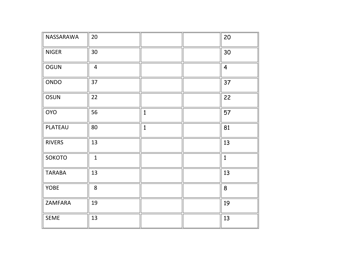| NASSARAWA     | 20             |              | 20             |
|---------------|----------------|--------------|----------------|
| <b>NIGER</b>  | 30             |              | 30             |
| <b>OGUN</b>   | $\overline{4}$ |              | $\overline{4}$ |
| ONDO          | 37             |              | 37             |
| OSUN          | 22             |              | 22             |
| <b>OYO</b>    | 56             | $\mathbf{1}$ | 57             |
| PLATEAU       | 80             | $\mathbf{1}$ | 81             |
| <b>RIVERS</b> | 13             |              | 13             |
| SOKOTO        | $\mathbf{1}$   |              | $\mathbf{1}$   |
| <b>TARABA</b> | 13             |              | 13             |
| YOBE          | 8              |              | 8              |
| ZAMFARA       | 19             |              | 19             |
| <b>SEME</b>   | 13             |              | 13             |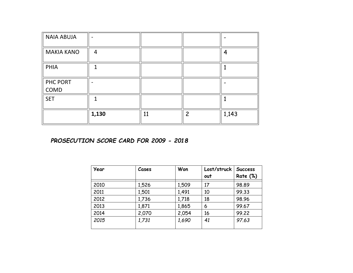| <b>NAIA ABUJA</b> |       |    |                |       |
|-------------------|-------|----|----------------|-------|
| <b>MAKIA KANO</b> | 4     |    |                |       |
| PHIA              |       |    |                |       |
| PHC PORT<br>COMD  |       |    |                |       |
| <b>SET</b>        |       |    |                |       |
|                   | 1,130 | 11 | $\mathfrak{p}$ | 1,143 |

#### *PROSECUTION SCORE CARD FOR 2009 - 2018*

| Year | Cases | Won   | Lost/struck<br>out | <b>Success</b><br><b>Rate (%)</b> |
|------|-------|-------|--------------------|-----------------------------------|
| 2010 | 1,526 | 1,509 | 17                 | 98.89                             |
| 2011 | 1,501 | 1,491 | 10                 | 99.33                             |
| 2012 | 1,736 | 1,718 | 18                 | 98.96                             |
| 2013 | 1,871 | 1,865 | 6                  | 99.67                             |
| 2014 | 2,070 | 2,054 | 16                 | 99.22                             |
| 2015 | 1,731 | 1,690 | 41                 | 97.63                             |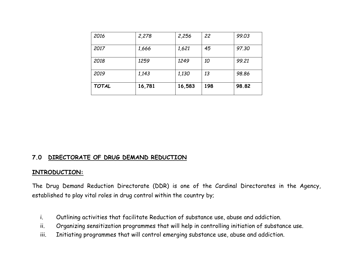| 2016         | 2,278  | 2,256  | 22  | 99.03 |
|--------------|--------|--------|-----|-------|
| 2017         | 1,666  | 1,621  | 45  | 97.30 |
| 2018         | 1259   | 1249   | 10  | 99.21 |
| 2019         | 1,143  | 1,130  | 13  | 98.86 |
| <b>TOTAL</b> | 16,781 | 16,583 | 198 | 98.82 |

#### **7.0 DIRECTORATE OF DRUG DEMAND REDUCTION**

#### **INTRODUCTION:**

The Drug Demand Reduction Directorate (DDR) is one of the Cardinal Directorates in the Agency, established to play vital roles in drug control within the country by;

- i. Outlining activities that facilitate Reduction of substance use, abuse and addiction.
- ii. Organizing sensitization programmes that will help in controlling initiation of substance use.
- iii. Initiating programmes that will control emerging substance use, abuse and addiction.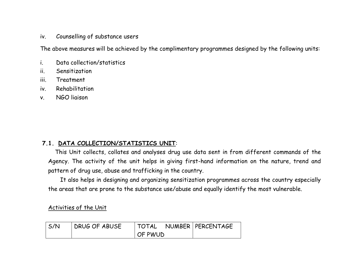#### iv. Counselling of substance users

The above measures will be achieved by the complimentary programmes designed by the following units:

- i. Data collection/statistics
- ii. Sensitization
- iii. Treatment
- iv. Rehabilitation
- v. NGO liaison

#### **7.1. DATA COLLECTION/STATISTICS UNIT**:

 This Unit collects, collates and analyses drug use data sent in from different commands of the Agency. The activity of the unit helps in giving first-hand information on the nature, trend and pattern of drug use, abuse and trafficking in the country.

 It also helps in designing and organizing sensitization programmes across the country especially the areas that are prone to the substance use/abuse and equally identify the most vulnerable.

Activities of the Unit

| S/N | DRUG OF ABUSE |         | TOTAL NUMBER   PERCENTAGE |
|-----|---------------|---------|---------------------------|
|     |               | OF PWUD |                           |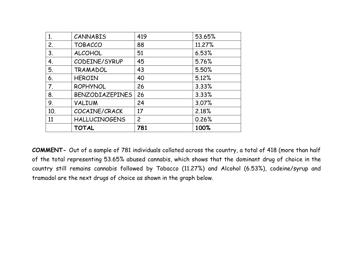| 1.             | CANNABIS             | 419            | 53.65% |
|----------------|----------------------|----------------|--------|
| 2.             | <b>TOBACCO</b>       | 88             | 11.27% |
| 3.             | <b>ALCOHOL</b>       | 51             | 6.53%  |
| 4.             | CODEINE/SYRUP        | 45             | 5.76%  |
| 5.             | TRAMADOL             | 43             | 5.50%  |
| 6.             | <b>HEROIN</b>        | 40             | 5.12%  |
| 7 <sub>1</sub> | <b>ROPHYNOL</b>      | 26             | 3.33%  |
| 8.             | BENZODIAZEPINES      | 26             | 3.33%  |
| 9.             | VALIUM               | 24             | 3.07%  |
| 10.            | COCAINE/CRACK        | 17             | 2.18%  |
| 11             | <b>HALLUCINOGENS</b> | $\overline{2}$ | 0.26%  |
|                | <b>TOTAL</b>         | 781            | 100%   |

**COMMENT-** Out of a sample of 781 individuals collated across the country, a total of 418 (more than half of the total representing 53.65% abused cannabis, which shows that the dominant drug of choice in the country still remains cannabis followed by Tobacco (11.27%) and Alcohol (6.53%), codeine/syrup and tramadol are the next drugs of choice as shown in the graph below.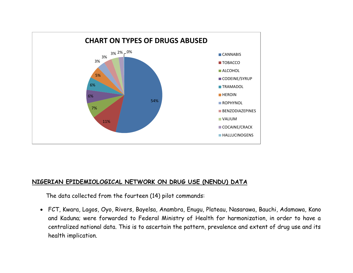

#### **NIGERIAN EPIDEMIOLOGICAL NETWORK ON DRUG USE (NENDU) DATA**

The data collected from the fourteen (14) pilot commands:

• FCT, Kwara, Lagos, Oyo, Rivers, Bayelsa, Anambra, Enugu, Plateau, Nasarawa, Bauchi, Adamawa, Kano and Kaduna; were forwarded to Federal Ministry of Health for harmonization, in order to have a centralized national data. This is to ascertain the pattern, prevalence and extent of drug use and its health implication.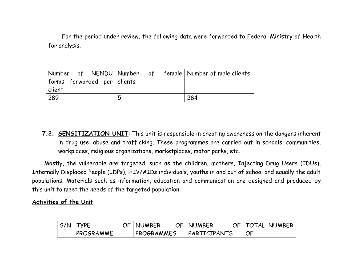For the period under review, the following data were forwarded to Federal Ministry of Health for analysis.

|                             | Number of NENDU Number of female Number of male-clients |     |
|-----------------------------|---------------------------------------------------------|-----|
| forms forwarded per clients |                                                         |     |
| client                      |                                                         |     |
| 289                         | 5                                                       | 284 |

**7.2. SENSITIZATION UNIT**: This unit is responsible in creating awareness on the dangers inherent in drug use, abuse and trafficking. These programmes are carried out in schools, communities, workplaces, religious organizations, marketplaces, motor parks, etc.

 Mostly, the vulnerable are targeted, such as the children, mothers, Injecting Drug Users (IDUs), Internally Displaced People (IDPs), HIV/AIDs individuals, youths in and out of school and equally the adult populations. Materials such as information, education and communication are designed and produced by this unit to meet the needs of the targeted population.

#### **Activities of the Unit**

| $S/N$ TYPE | OF   NUMBER | OF   NUMBER  |                 | OF   TOTAL NUMBER |
|------------|-------------|--------------|-----------------|-------------------|
| PROGRAMME  | PROGRAMMES  | PARTICIPANTS | $\overline{OP}$ |                   |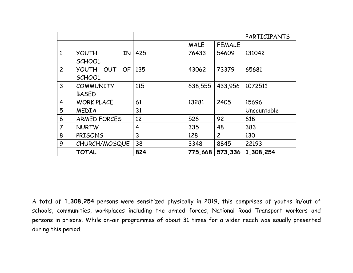|                |                     |     |         |                | PARTICIPANTS |
|----------------|---------------------|-----|---------|----------------|--------------|
|                |                     |     | MALE    | <b>FEMALE</b>  |              |
| $\mathbf{1}$   | IN.<br><b>YOUTH</b> | 425 | 76433   | 54609          | 131042       |
|                | <b>SCHOOL</b>       |     |         |                |              |
| $\overline{2}$ | OUT OF<br>YOUTH     | 135 | 43062   | 73379          | 65681        |
|                | <b>SCHOOL</b>       |     |         |                |              |
| 3              | <b>COMMUNITY</b>    | 115 | 638,555 | 433,956        | 1072511      |
|                | <b>BASED</b>        |     |         |                |              |
| 4              | <b>WORK PLACE</b>   | 61  | 13281   | 2405           | 15696        |
| 5              | <b>MEDIA</b>        | 31  |         |                | Uncountable  |
| 6              | <b>ARMED FORCES</b> | 12  | 526     | 92             | 618          |
| $\overline{7}$ | <b>NURTW</b>        | 4   | 335     | 48             | 383          |
| 8              | <b>PRISONS</b>      | 3   | 128     | $\overline{2}$ | 130          |
| 9              | CHURCH/MOSQUE       | 38  | 3348    | 8845           | 22193        |
|                | <b>TOTAL</b>        | 824 | 775,668 | 573,336        | 1,308,254    |

A total of **1,308,254** persons were sensitized physically in 2019, this comprises of youths in/out of schools, communities, workplaces including the armed forces, National Road Transport workers and persons in prisons. While on-air programmes of about 31 times for a wider reach was equally presented during this period.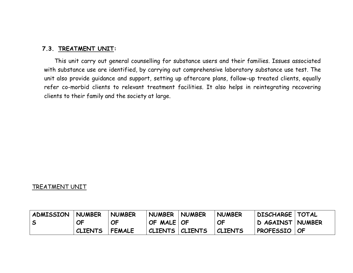#### **7.3. TREATMENT UNIT:**

 This unit carry out general counselling for substance users and their families. Issues associated with substance use are identified, by carrying out comprehensive laboratory substance use test. The unit also provide guidance and support, setting up aftercare plans, follow-up treated clients, equally refer co-morbid clients to relevant treatment facilities. It also helps in reintegrating recovering clients to their family and the society at large.

#### TREATMENT UNIT

| <b>ADMISSION</b> | <b>NUMBER</b>  | <b>NUMBER</b> | <b>NUMBER</b>     | <b>NUMBER</b> | <b>NUMBER</b>  | DISCHARGE   TOTAL |  |
|------------------|----------------|---------------|-------------------|---------------|----------------|-------------------|--|
| l S              | <b>OF</b>      | <b>OF</b>     | OF MALE   OF      |               | <b>OF</b>      | D AGAINST NUMBER  |  |
|                  | <b>CLIENTS</b> | <b>FEMALE</b> | CLIENTS   CLIENTS |               | <b>CLIENTS</b> | PROFESSIO   OF    |  |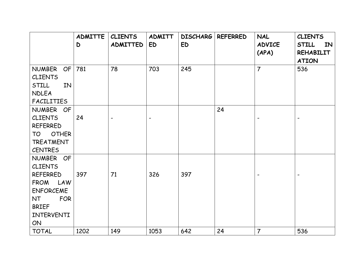|                           | <b>ADMITTE</b> | <b>CLIENTS</b> | <b>ADMITT</b>                | <b>DISCHARG</b> | <b>REFERRED</b> | <b>NAL</b>               | <b>CLIENTS</b>                         |
|---------------------------|----------------|----------------|------------------------------|-----------------|-----------------|--------------------------|----------------------------------------|
|                           | D              | ADMITTED       | ED                           | <b>ED</b>       |                 | <b>ADVICE</b><br>(APA)   | <b>STILL</b><br>IN<br><b>REHABILIT</b> |
|                           |                |                |                              |                 |                 |                          | <b>ATION</b>                           |
| <b>NUMBER</b><br>OF       | 781            | 78             | 703                          | 245             |                 | $\overline{7}$           | 536                                    |
| <b>CLIENTS</b>            |                |                |                              |                 |                 |                          |                                        |
| STILL<br>IN               |                |                |                              |                 |                 |                          |                                        |
| <b>NDLEA</b>              |                |                |                              |                 |                 |                          |                                        |
| <b>FACILITIES</b>         |                |                |                              |                 |                 |                          |                                        |
| NUMBER OF                 |                |                |                              |                 | 24              |                          |                                        |
| <b>CLIENTS</b>            | 24             |                | $\qquad \qquad \blacksquare$ |                 |                 | $\overline{\phantom{a}}$ |                                        |
| <b>REFERRED</b>           |                |                |                              |                 |                 |                          |                                        |
| <b>OTHER</b><br><b>TO</b> |                |                |                              |                 |                 |                          |                                        |
| <b>TREATMENT</b>          |                |                |                              |                 |                 |                          |                                        |
| <b>CENTRES</b>            |                |                |                              |                 |                 |                          |                                        |
| NUMBER OF                 |                |                |                              |                 |                 |                          |                                        |
| <b>CLIENTS</b>            |                |                |                              |                 |                 |                          |                                        |
| <b>REFERRED</b>           | 397            | 71             | 326                          | 397             |                 | $\overline{\phantom{a}}$ |                                        |
| FROM LAW                  |                |                |                              |                 |                 |                          |                                        |
| <b>ENFORCEME</b>          |                |                |                              |                 |                 |                          |                                        |
| <b>FOR</b><br><b>NT</b>   |                |                |                              |                 |                 |                          |                                        |
| <b>BRIEF</b>              |                |                |                              |                 |                 |                          |                                        |
| INTERVENTI                |                |                |                              |                 |                 |                          |                                        |
| ON                        |                |                |                              |                 |                 |                          |                                        |
| <b>TOTAL</b>              | 1202           | 149            | 1053                         | 642             | 24              | $\overline{7}$           | 536                                    |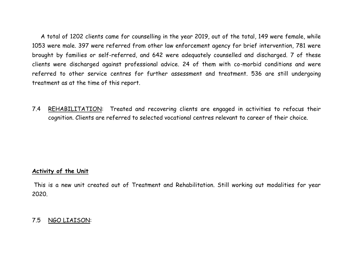A total of 1202 clients came for counselling in the year 2019, out of the total, 149 were female, while 1053 were male. 397 were referred from other law enforcement agency for brief intervention, 781 were brought by families or self-referred, and 642 were adequately counselled and discharged. 7 of these clients were discharged against professional advice. 24 of them with co-morbid conditions and were referred to other service centres for further assessment and treatment. 536 are still undergoing treatment as at the time of this report.

7.4 REHABILITATION: Treated and recovering clients are engaged in activities to refocus their cognition. Clients are referred to selected vocational centres relevant to career of their choice.

#### **Activity of the Unit**

This is a new unit created out of Treatment and Rehabilitation. Still working out modalities for year 2020.

#### 7.5 NGO LIAISON: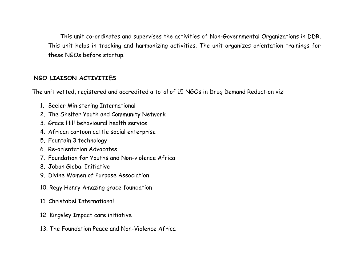This unit co-ordinates and supervises the activities of Non-Governmental Organizations in DDR. This unit helps in tracking and harmonizing activities. The unit organizes orientation trainings for these NGOs before startup.

#### **NGO LIAISON ACTIVITIES**

The unit vetted, registered and accredited a total of 15 NGOs in Drug Demand Reduction viz:

- 1. Beeler Ministering International
- 2. The Shelter Youth and Community Network
- 3. Grace Hill behavioural health service
- 4. African cartoon cattle social enterprise
- 5. Fountain 3 technology
- 6. Re-orientation Advocates
- 7. Foundation for Youths and Non-violence Africa
- 8. Joban Global Initiative
- 9. Divine Women of Purpose Association
- 10. Regy Henry Amazing grace foundation
- 11. Christabel International
- 12. Kingsley Impact care initiative
- 13. The Foundation Peace and Non-Violence Africa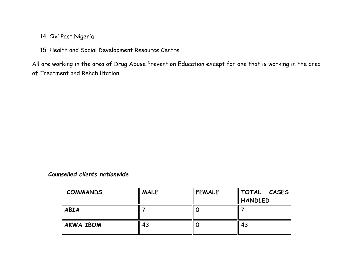# 14. Civi Pact Nigeria

.

15. Health and Social Development Resource Centre

All are working in the area of Drug Abuse Prevention Education except for one that is working in the area of Treatment and Rehabilitation.

#### *Counselled clients nationwide*

| <b>COMMANDS</b>  | <b>MALE</b> | <b>FEMALE</b> | TOTAL<br><b>CASES</b> |
|------------------|-------------|---------------|-----------------------|
|                  |             |               | <b>HANDLED</b>        |
| <b>ABIA</b>      |             |               |                       |
| <b>AKWA IBOM</b> | 43          |               | 43                    |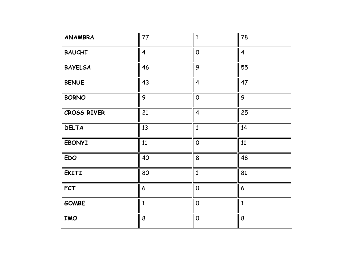| <b>ANAMBRA</b> | 77             | $\mathbf{1}$   | 78              |
|----------------|----------------|----------------|-----------------|
| <b>BAUCHI</b>  | $\overline{4}$ | $\overline{O}$ | $\overline{4}$  |
| <b>BAYELSA</b> | 46             | 9              | 55              |
| <b>BENUE</b>   | 43             | $\overline{4}$ | 47              |
| <b>BORNO</b>   | 9              | $\overline{0}$ | 9               |
| CROSS RIVER    | 21             | $\overline{4}$ | 25              |
| <b>DELTA</b>   | 13             | $\mathbf{1}$   | 14              |
| <b>EBONYI</b>  | 11             | $\overline{0}$ | 11              |
| <b>EDO</b>     | 40             | 8              | 48              |
| <b>EKITI</b>   | 80             | $\mathbf{1}$   | 81              |
| <b>FCT</b>     | 6              | $\mathsf{O}$   | $6\phantom{1}6$ |
| <b>GOMBE</b>   | $\mathbf{1}$   | $\mathbf 0$    | $\mathbf{1}$    |
| <b>IMO</b>     | 8              | $\overline{0}$ | 8               |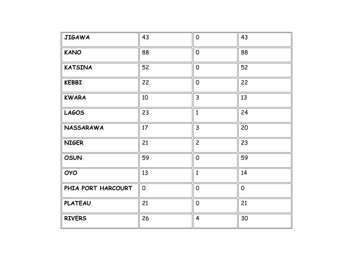| <b>JIGAWA</b>      | 43             | $\overline{0}$ | 43             |
|--------------------|----------------|----------------|----------------|
| <b>KANO</b>        | 88             | $\overline{0}$ | 88             |
| <b>KATSINA</b>     | 52             | $\mathbf 0$    | 52             |
| <b>KEBBI</b>       | 22             | $\overline{O}$ | 22             |
| <b>KWARA</b>       | 10             | $\overline{3}$ | 13             |
| <b>LAGOS</b>       | 23             | $\mathbf{1}$   | 24             |
| <b>NASSARAWA</b>   | 17             | $\overline{3}$ | 20             |
| <b>NIGER</b>       | 21             | $\overline{c}$ | 23             |
| <b>OSUN</b>        | 59             | $\overline{0}$ | 59             |
| <b>OYO</b>         | 13             | $\mathbf{1}$   | 14             |
| PHIA PORT HARCOURT | $\overline{O}$ | $\overline{O}$ | $\overline{0}$ |
| <b>PLATEAU</b>     | 21             | $\overline{0}$ | 21             |
| <b>RIVERS</b>      | 26             | $\overline{4}$ | 30             |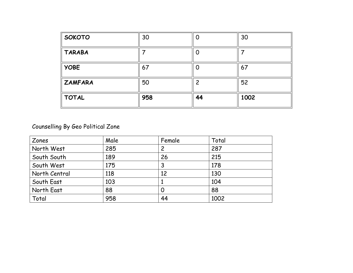| <b>Γsoκoτo</b>      | 30  | Û  | 30   |
|---------------------|-----|----|------|
| $\parallel$ TARABA  |     | 0  |      |
| $\parallel$ YOBE    | 67  | O  | 67   |
| $\parallel$ ZAMFARA | 50  |    | 52   |
| $\parallel$ TOTAL   | 958 | 44 | 1002 |

Counselling By Geo Political Zone

| Zones         | Male | Female         | Total |
|---------------|------|----------------|-------|
| North West    | 285  | $\overline{c}$ | 287   |
| South South   | 189  | 26             | 215   |
| South West    | 175  | 3              | 178   |
| North Central | 118  | 12             | 130   |
| South East    | 103  |                | 104   |
| North East    | 88   | 0              | 88    |
| Total         | 958  | 44             | 1002  |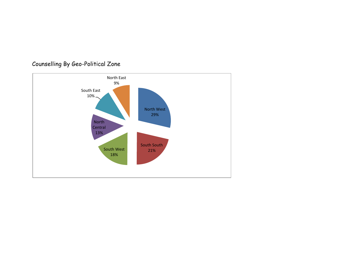

# Counselling By Geo-Political Zone